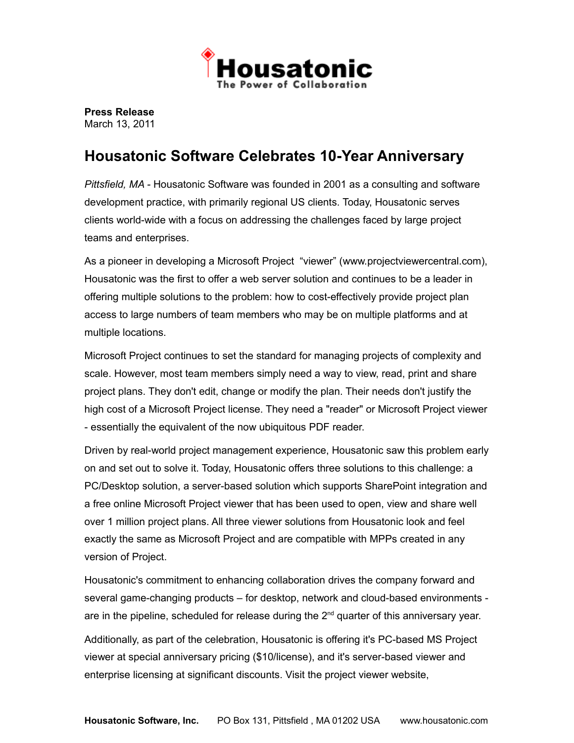

**Press Release** March 13, 2011

## **Housatonic Software Celebrates 10-Year Anniversary**

*Pittsfield, MA -* Housatonic Software was founded in 2001 as a consulting and software development practice, with primarily regional US clients. Today, Housatonic serves clients world-wide with a focus on addressing the challenges faced by large project teams and enterprises.

As a pioneer in developing a Microsoft Project "viewer" (www.projectviewercentral.com), Housatonic was the first to offer a web server solution and continues to be a leader in offering multiple solutions to the problem: how to cost-effectively provide project plan access to large numbers of team members who may be on multiple platforms and at multiple locations.

Microsoft Project continues to set the standard for managing projects of complexity and scale. However, most team members simply need a way to view, read, print and share project plans. They don't edit, change or modify the plan. Their needs don't justify the high cost of a Microsoft Project license. They need a "reader" or Microsoft Project viewer - essentially the equivalent of the now ubiquitous PDF reader.

Driven by real-world project management experience, Housatonic saw this problem early on and set out to solve it. Today, Housatonic offers three solutions to this challenge: a PC/Desktop solution, a server-based solution which supports SharePoint integration and a free online Microsoft Project viewer that has been used to open, view and share well over 1 million project plans. All three viewer solutions from Housatonic look and feel exactly the same as Microsoft Project and are compatible with MPPs created in any version of Project.

Housatonic's commitment to enhancing collaboration drives the company forward and several game-changing products – for desktop, network and cloud-based environments are in the pipeline, scheduled for release during the 2<sup>nd</sup> quarter of this anniversary year.

Additionally, as part of the celebration, Housatonic is offering it's PC-based MS Project viewer at special anniversary pricing (\$10/license), and it's server-based viewer and enterprise licensing at significant discounts. Visit the project viewer website,